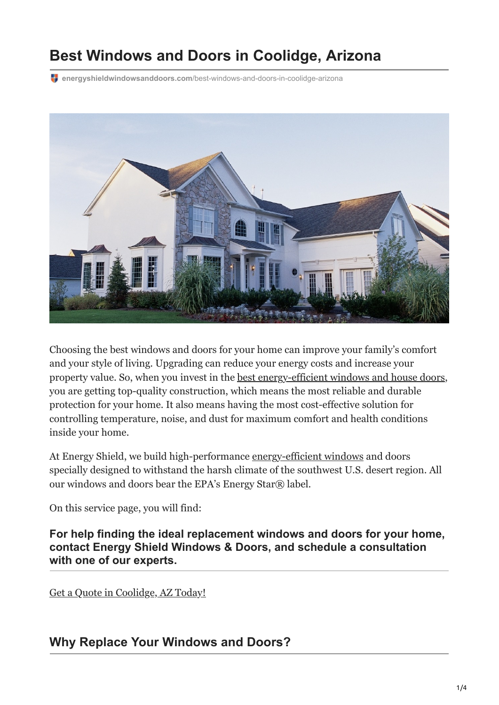# **Best Windows and Doors in Coolidge, Arizona**

**energyshieldwindowsanddoors.com**[/best-windows-and-doors-in-coolidge-arizona](https://energyshieldwindowsanddoors.com/best-windows-and-doors-in-coolidge-arizona/#Energy-Shield-Window--Door)



Choosing the best windows and doors for your home can improve your family's comfort and your style of living. Upgrading can reduce your energy costs and increase your property value. So, when you invest in the [best energy-efficient windows and house doors,](https://energyshieldwindowsanddoors.com/best-energy-efficient-windows-for-hot-climates/) you are getting top-quality construction, which means the most reliable and durable protection for your home. It also means having the most cost-effective solution for controlling temperature, noise, and dust for maximum comfort and health conditions inside your home.

At Energy Shield, we build high-performance [energy-efficient windows](https://energyshieldwindowsanddoors.com/vinyl-windows-arizona/) and doors specially designed to withstand the harsh climate of the southwest U.S. desert region. All our windows and doors bear the EPA's Energy Star® label.

On this service page, you will find:

**For help finding the ideal replacement windows and doors for your home, contact Energy Shield Windows & Doors, and schedule a consultation with one of our experts.**

[Get a Quote in Coolidge, AZ Today!](https://energyshieldwindowsanddoors.com/contact/)

### **Why Replace Your Windows and Doors?**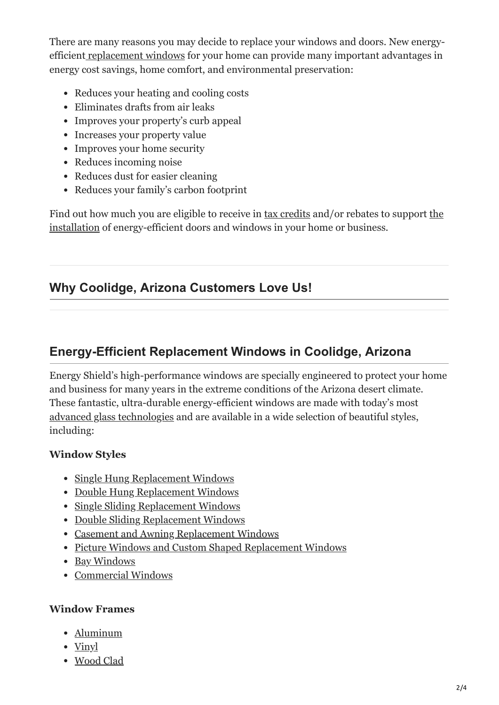There are many reasons you may decide to replace your windows and doors. New energyefficien[t replacement windows](https://energyshieldwindowsanddoors.com/vinyl-windows-arizona/) for your home can provide many important advantages in energy cost savings, home comfort, and environmental preservation:

- Reduces your heating and cooling costs
- Eliminates drafts from air leaks
- Improves your property's curb appeal
- Increases your property value
- Improves your home security
- Reduces incoming noise
- Reduces dust for easier cleaning
- Reduces your family's carbon footprint

[Find out how much you are eligible to receive in](https://energyshieldwindowsanddoors.com/window-installation-cost/) [tax credits](https://energyshieldwindowsanddoors.com/tax-credits.htm) [and/or rebates to support the](https://energyshieldwindowsanddoors.com/window-installation-cost/) installation of energy-efficient doors and windows in your home or business.

### **Why Coolidge, Arizona Customers Love Us!**

### **Energy-Efficient Replacement Windows in Coolidge, Arizona**

Energy Shield's high-performance windows are specially engineered to protect your home and business for many years in the extreme conditions of the Arizona desert climate. These fantastic, ultra-durable energy-efficient windows are made with today's most [advanced glass technologies](https://energyshieldwindowsanddoors.com/expert-low-e-coating-glass-window-installation-in-arizona/) and are available in a wide selection of beautiful styles, including:

### **Window Styles**

- [Single Hung Replacement Windows](https://energyshieldwindowsanddoors.com/single-hung-windows/)
- [Double Hung Replacement Windows](https://energyshieldwindowsanddoors.com/double-hung-windows/)
- [Single Sliding Replacement Windows](https://energyshieldwindowsanddoors.com/single-sliding-windows/)
- [Double Sliding Replacement Windows](https://energyshieldwindowsanddoors.com/double-sliding-windows/)
- [Casement and Awning Replacement Windows](https://energyshieldwindowsanddoors.com/casement-and-awning-windows/)
- [Picture Windows and Custom Shaped Replacement Windows](https://energyshieldwindowsanddoors.com/picture-window-and-custom-shapes/)
- [Bay Windows](https://energyshieldwindowsanddoors.com/bay-and-bow-windows/)
- [Commercial Windows](https://energyshieldwindowsanddoors.com/arizona-commercial-windows/)

#### **Window Frames**

- [Aluminum](https://energyshieldwindowsanddoors.com/aluminum-windows/)
- [Vinyl](https://energyshieldwindowsanddoors.com/vinyl-windows-arizona/)
- [Wood Clad](https://energyshieldwindowsanddoors.com/wood-clad-windows/)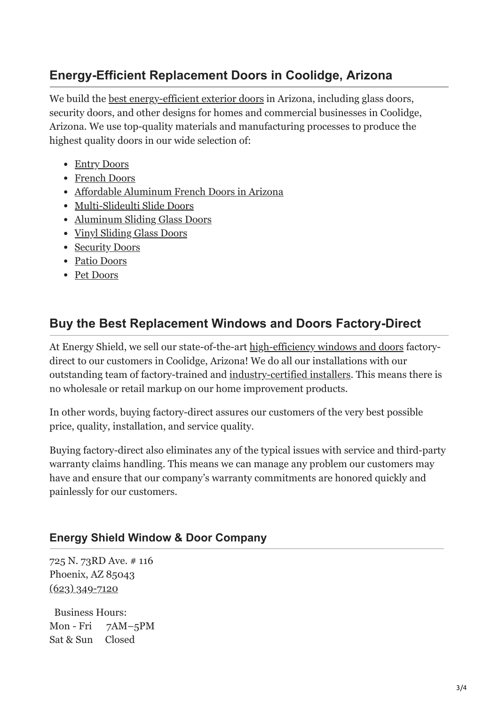# **Energy-Efficient Replacement Doors in Coolidge, Arizona**

We build the <u>[best energy-efficient exterior doors](https://energyshieldwindowsanddoors.com/door-replacement-arizona/)</u> in Arizona, including glass doors, security doors, and other designs for homes and commercial businesses in Coolidge, Arizona. We use top-quality materials and manufacturing processes to produce the highest quality doors in our wide selection of:

- [Entry Doors](https://energyshieldwindowsanddoors.com/entry-doors/)
- [French Doors](https://energyshieldwindowsanddoors.com/french-doors/)
- [Affordable Aluminum French Doors in Arizona](https://energyshieldwindowsanddoors.com/aluminum-hinged-doors/)
- [Multi-Slideulti Slide Doors](https://energyshieldwindowsanddoors.com/multi-slide-doors/)
- [Aluminum Sliding Glass Doors](https://energyshieldwindowsanddoors.com/aluminum-sliding-glass-doors/)
- [Vinyl Sliding Glass Doors](https://energyshieldwindowsanddoors.com/vinyl-sliding-glass-doors/)
- [Security Doors](https://energyshieldwindowsanddoors.com/security-doors/)
- [Patio Doors](https://energyshieldwindowsanddoors.com/patio-doors-arizona/)
- [Pet Doors](https://energyshieldwindowsanddoors.com/pet-door-installer-in-arizona/)

### **Buy the Best Replacement Windows and Doors Factory-Direct**

At Energy Shield, we sell our state-of-the-art [high-efficiency windows and doors](https://energyshieldwindowsanddoors.com/) factorydirect to our customers in Coolidge, Arizona! We do all our installations with our outstanding team of factory-trained and [industry-certified installers.](https://energyshieldwindowsanddoors.com/energy-shield-professional-certifications/) This means there is no wholesale or retail markup on our home improvement products.

In other words, buying factory-direct assures our customers of the very best possible price, quality, installation, and service quality.

Buying factory-direct also eliminates any of the typical issues with service and third-party warranty claims handling. This means we can manage any problem our customers may have and ensure that our company's warranty commitments are honored quickly and painlessly for our customers.

### **Energy Shield Window & Door Company**

725 N. 73RD Ave. # 116 Phoenix, AZ 85043  $(623)$  349-7120

Business Hours: Mon - Fri 7AM–5PM Sat & Sun Closed